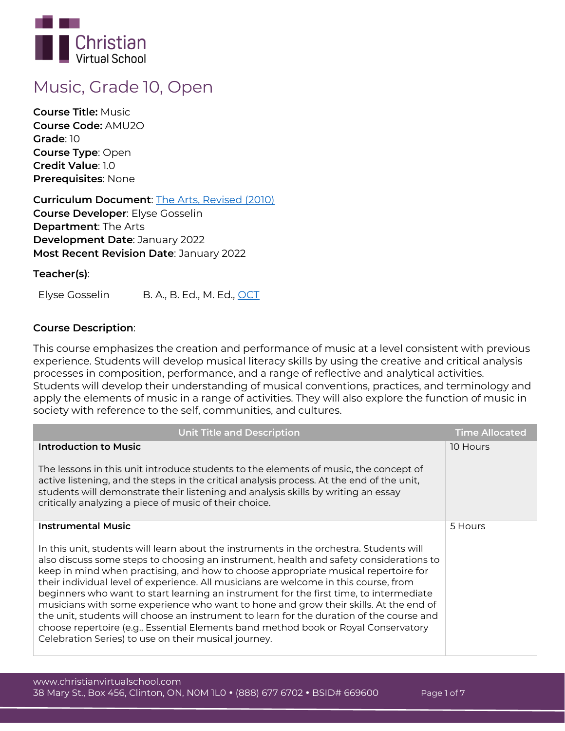

# **Music, Grade 10, Open**

**Course Title:** Music **Course Code:** AMU2O **Grade**: 10 **Course Type**: Open **Credit Value**: 1.0 **Prerequisites**: None

**Curriculum Document**: [The Arts, Revised \(2010\)](http://www.edu.gov.on.ca/eng/curriculum/secondary/arts910curr2010.pdf) **Course Developer**: Elyse Gosselin **Department**: The Arts **Development Date**: January 2022 **Most Recent Revision Date**: January 2022

**Teacher(s)**:

Elyse Gosselin B. A., B. Ed., M. Ed., [OCT](https://www.oct.ca/findateacher/memberinfo?memberid=594137)

## **Course Description**:

This course emphasizes the creation and performance of music at a level consistent with previous experience. Students will develop musical literacy skills by using the creative and critical analysis processes in composition, performance, and a range of reflective and analytical activities. Students will develop their understanding of musical conventions, practices, and terminology and apply the elements of music in a range of activities. They will also explore the function of music in society with reference to the self, communities, and cultures.

| <b>Unit Title and Description</b>                                                                                                                                                                                                                                                                                                                                                                                                                                                                                                                                                                                                                                                                                                                                                                                        | <b>Time Allocated</b> |
|--------------------------------------------------------------------------------------------------------------------------------------------------------------------------------------------------------------------------------------------------------------------------------------------------------------------------------------------------------------------------------------------------------------------------------------------------------------------------------------------------------------------------------------------------------------------------------------------------------------------------------------------------------------------------------------------------------------------------------------------------------------------------------------------------------------------------|-----------------------|
| <b>Introduction to Music</b><br>The lessons in this unit introduce students to the elements of music, the concept of<br>active listening, and the steps in the critical analysis process. At the end of the unit,<br>students will demonstrate their listening and analysis skills by writing an essay<br>critically analyzing a piece of music of their choice.                                                                                                                                                                                                                                                                                                                                                                                                                                                         | 10 Hours              |
| <b>Instrumental Music</b><br>In this unit, students will learn about the instruments in the orchestra. Students will<br>also discuss some steps to choosing an instrument, health and safety considerations to<br>keep in mind when practising, and how to choose appropriate musical repertoire for<br>their individual level of experience. All musicians are welcome in this course, from<br>beginners who want to start learning an instrument for the first time, to intermediate<br>musicians with some experience who want to hone and grow their skills. At the end of<br>the unit, students will choose an instrument to learn for the duration of the course and<br>choose repertoire (e.g., Essential Elements band method book or Royal Conservatory<br>Celebration Series) to use on their musical journey. | 5 Hours               |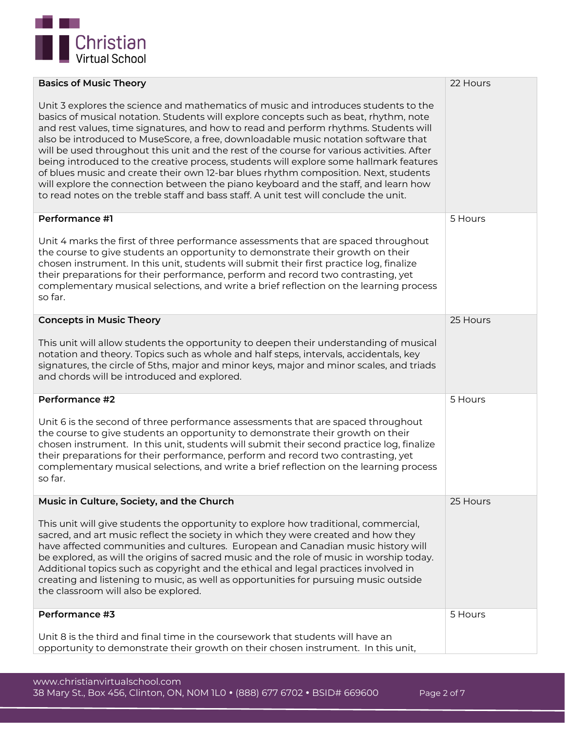

| <b>Basics of Music Theory</b>                                                                                                                                                                                                                                                                                                                                                                                                                                                                                                                                                                                                                                                                                                                                                                                             | 22 Hours |
|---------------------------------------------------------------------------------------------------------------------------------------------------------------------------------------------------------------------------------------------------------------------------------------------------------------------------------------------------------------------------------------------------------------------------------------------------------------------------------------------------------------------------------------------------------------------------------------------------------------------------------------------------------------------------------------------------------------------------------------------------------------------------------------------------------------------------|----------|
| Unit 3 explores the science and mathematics of music and introduces students to the<br>basics of musical notation. Students will explore concepts such as beat, rhythm, note<br>and rest values, time signatures, and how to read and perform rhythms. Students will<br>also be introduced to MuseScore, a free, downloadable music notation software that<br>will be used throughout this unit and the rest of the course for various activities. After<br>being introduced to the creative process, students will explore some hallmark features<br>of blues music and create their own 12-bar blues rhythm composition. Next, students<br>will explore the connection between the piano keyboard and the staff, and learn how<br>to read notes on the treble staff and bass staff. A unit test will conclude the unit. |          |
| Performance #1                                                                                                                                                                                                                                                                                                                                                                                                                                                                                                                                                                                                                                                                                                                                                                                                            | 5 Hours  |
| Unit 4 marks the first of three performance assessments that are spaced throughout<br>the course to give students an opportunity to demonstrate their growth on their<br>chosen instrument. In this unit, students will submit their first practice log, finalize<br>their preparations for their performance, perform and record two contrasting, yet<br>complementary musical selections, and write a brief reflection on the learning process<br>so far.                                                                                                                                                                                                                                                                                                                                                               |          |
| <b>Concepts in Music Theory</b>                                                                                                                                                                                                                                                                                                                                                                                                                                                                                                                                                                                                                                                                                                                                                                                           | 25 Hours |
| This unit will allow students the opportunity to deepen their understanding of musical<br>notation and theory. Topics such as whole and half steps, intervals, accidentals, key<br>signatures, the circle of 5ths, major and minor keys, major and minor scales, and triads<br>and chords will be introduced and explored.                                                                                                                                                                                                                                                                                                                                                                                                                                                                                                |          |
| Performance #2                                                                                                                                                                                                                                                                                                                                                                                                                                                                                                                                                                                                                                                                                                                                                                                                            | 5 Hours  |
| Unit 6 is the second of three performance assessments that are spaced throughout<br>the course to give students an opportunity to demonstrate their growth on their<br>chosen instrument. In this unit, students will submit their second practice log, finalize<br>their preparations for their performance, perform and record two contrasting, yet<br>complementary musical selections, and write a brief reflection on the learning process<br>so far.                                                                                                                                                                                                                                                                                                                                                                |          |
| Music in Culture, Society, and the Church                                                                                                                                                                                                                                                                                                                                                                                                                                                                                                                                                                                                                                                                                                                                                                                 | 25 Hours |
| This unit will give students the opportunity to explore how traditional, commercial,<br>sacred, and art music reflect the society in which they were created and how they<br>have affected communities and cultures. European and Canadian music history will<br>be explored, as will the origins of sacred music and the role of music in worship today.<br>Additional topics such as copyright and the ethical and legal practices involved in<br>creating and listening to music, as well as opportunities for pursuing music outside<br>the classroom will also be explored.                                                                                                                                                                                                                                          |          |
| Performance #3                                                                                                                                                                                                                                                                                                                                                                                                                                                                                                                                                                                                                                                                                                                                                                                                            | 5 Hours  |
| Unit 8 is the third and final time in the coursework that students will have an<br>opportunity to demonstrate their growth on their chosen instrument. In this unit,                                                                                                                                                                                                                                                                                                                                                                                                                                                                                                                                                                                                                                                      |          |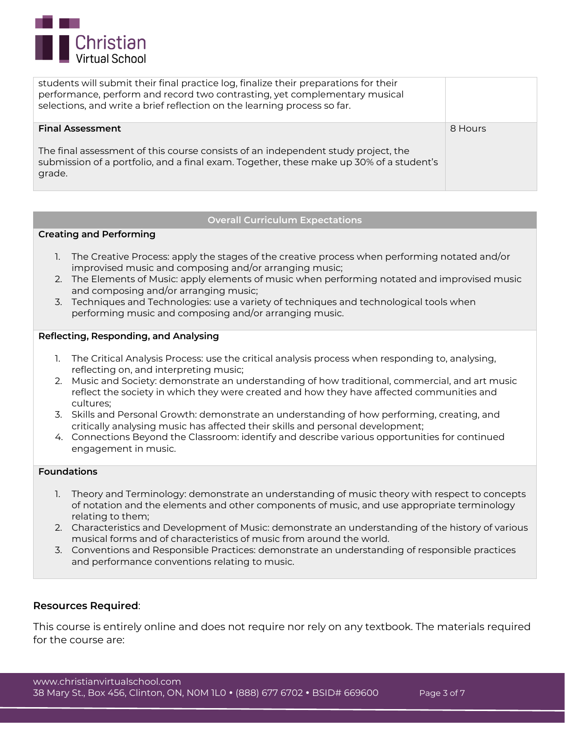

| students will submit their final practice log, finalize their preparations for their<br>performance, perform and record two contrasting, yet complementary musical<br>selections, and write a brief reflection on the learning process so far. |         |
|------------------------------------------------------------------------------------------------------------------------------------------------------------------------------------------------------------------------------------------------|---------|
| <b>Final Assessment</b><br>The final assessment of this course consists of an independent study project, the<br>submission of a portfolio, and a final exam. Together, these make up 30% of a student's<br>grade.                              | 8 Hours |

## **Overall Curriculum Expectations**

## **Creating and Performing**

- 1. The Creative Process: apply the stages of the creative process when performing notated and/or improvised music and composing and/or arranging music;
- 2. The Elements of Music: apply elements of music when performing notated and improvised music and composing and/or arranging music;
- 3. Techniques and Technologies: use a variety of techniques and technological tools when performing music and composing and/or arranging music.

## **Reflecting, Responding, and Analysing**

- 1. The Critical Analysis Process: use the critical analysis process when responding to, analysing, reflecting on, and interpreting music;
- 2. Music and Society: demonstrate an understanding of how traditional, commercial, and art music reflect the society in which they were created and how they have affected communities and cultures;
- 3. Skills and Personal Growth: demonstrate an understanding of how performing, creating, and critically analysing music has affected their skills and personal development;
- 4. Connections Beyond the Classroom: identify and describe various opportunities for continued engagement in music.

## **Foundations**

- 1. Theory and Terminology: demonstrate an understanding of music theory with respect to concepts of notation and the elements and other components of music, and use appropriate terminology relating to them;
- 2. Characteristics and Development of Music: demonstrate an understanding of the history of various musical forms and of characteristics of music from around the world.
- 3. Conventions and Responsible Practices: demonstrate an understanding of responsible practices and performance conventions relating to music.

## **Resources Required**:

This course is entirely online and does not require nor rely on any textbook. The materials required for the course are: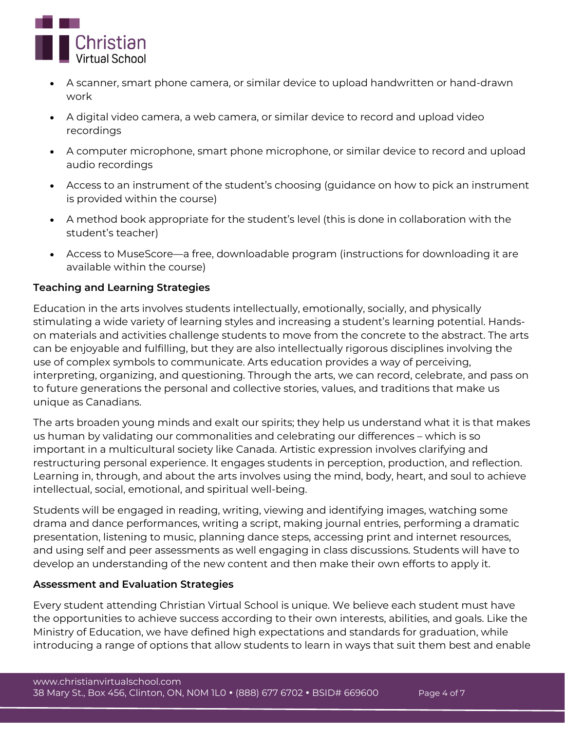

- A scanner, smart phone camera, or similar device to upload handwritten or hand-drawn work
- A digital video camera, a web camera, or similar device to record and upload video recordings
- A computer microphone, smart phone microphone, or similar device to record and upload audio recordings
- Access to an instrument of the student's choosing (guidance on how to pick an instrument is provided within the course)
- A method book appropriate for the student's level (this is done in collaboration with the student's teacher)
- Access to MuseScore—a free, downloadable program (instructions for downloading it are available within the course)

# **Teaching and Learning Strategies**

Education in the arts involves students intellectually, emotionally, socially, and physically stimulating a wide variety of learning styles and increasing a student's learning potential. Handson materials and activities challenge students to move from the concrete to the abstract. The arts can be enjoyable and fulfilling, but they are also intellectually rigorous disciplines involving the use of complex symbols to communicate. Arts education provides a way of perceiving, interpreting, organizing, and questioning. Through the arts, we can record, celebrate, and pass on to future generations the personal and collective stories, values, and traditions that make us unique as Canadians.

The arts broaden young minds and exalt our spirits; they help us understand what it is that makes us human by validating our commonalities and celebrating our differences – which is so important in a multicultural society like Canada. Artistic expression involves clarifying and restructuring personal experience. It engages students in perception, production, and reflection. Learning in, through, and about the arts involves using the mind, body, heart, and soul to achieve intellectual, social, emotional, and spiritual well-being.

Students will be engaged in reading, writing, viewing and identifying images, watching some drama and dance performances, writing a script, making journal entries, performing a dramatic presentation, listening to music, planning dance steps, accessing print and internet resources, and using self and peer assessments as well engaging in class discussions. Students will have to develop an understanding of the new content and then make their own efforts to apply it.

# **Assessment and Evaluation Strategies**

Every student attending Christian Virtual School is unique. We believe each student must have the opportunities to achieve success according to their own interests, abilities, and goals. Like the Ministry of Education, we have defined high expectations and standards for graduation, while introducing a range of options that allow students to learn in ways that suit them best and enable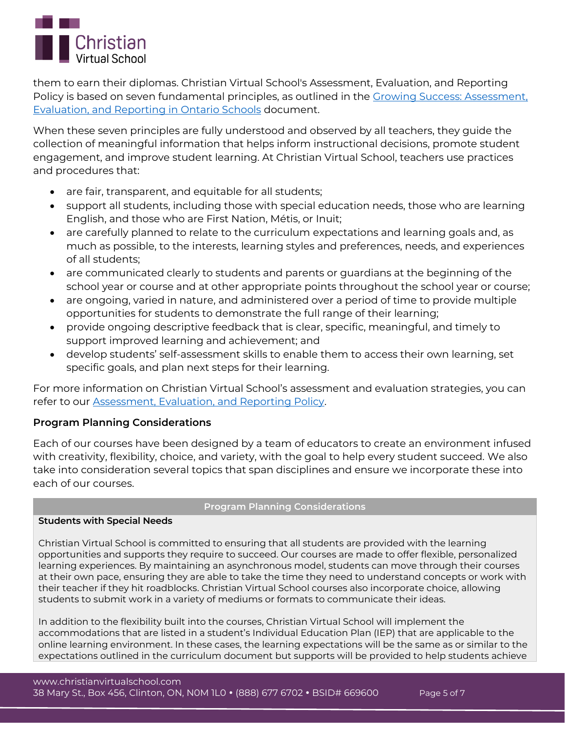

them to earn their diplomas. Christian Virtual School's Assessment, Evaluation, and Reporting Policy is based on seven fundamental principles, as outlined in the [Growing Success: Assessment,](http://www.edu.gov.on.ca/eng/policyfunding/growSuccess.pdf)  [Evaluation, and Reporting in Ontario Schools](http://www.edu.gov.on.ca/eng/policyfunding/growSuccess.pdf) document.

When these seven principles are fully understood and observed by all teachers, they guide the collection of meaningful information that helps inform instructional decisions, promote student engagement, and improve student learning. At Christian Virtual School, teachers use practices and procedures that:

- are fair, transparent, and equitable for all students;
- support all students, including those with special education needs, those who are learning English, and those who are First Nation, Métis, or Inuit;
- are carefully planned to relate to the curriculum expectations and learning goals and, as much as possible, to the interests, learning styles and preferences, needs, and experiences of all students;
- are communicated clearly to students and parents or guardians at the beginning of the school year or course and at other appropriate points throughout the school year or course;
- are ongoing, varied in nature, and administered over a period of time to provide multiple opportunities for students to demonstrate the full range of their learning;
- provide ongoing descriptive feedback that is clear, specific, meaningful, and timely to support improved learning and achievement; and
- develop students' self-assessment skills to enable them to access their own learning, set specific goals, and plan next steps for their learning.

For more information on Christian Virtual School's assessment and evaluation strategies, you can refer to our [Assessment, Evaluation, and Reporting Policy.](https://www.christianvirtualschool.com/wp-content/uploads/2020/07/Assessment-Evaluation-and-Reporting.pdf)

# **Program Planning Considerations**

Each of our courses have been designed by a team of educators to create an environment infused with creativity, flexibility, choice, and variety, with the goal to help every student succeed. We also take into consideration several topics that span disciplines and ensure we incorporate these into each of our courses.

## **Program Planning Considerations**

## **Students with Special Needs**

Christian Virtual School is committed to ensuring that all students are provided with the learning opportunities and supports they require to succeed. Our courses are made to offer flexible, personalized learning experiences. By maintaining an asynchronous model, students can move through their courses at their own pace, ensuring they are able to take the time they need to understand concepts or work with their teacher if they hit roadblocks. Christian Virtual School courses also incorporate choice, allowing students to submit work in a variety of mediums or formats to communicate their ideas.

In addition to the flexibility built into the courses, Christian Virtual School will implement the accommodations that are listed in a student's Individual Education Plan (IEP) that are applicable to the online learning environment. In these cases, the learning expectations will be the same as or similar to the expectations outlined in the curriculum document but supports will be provided to help students achieve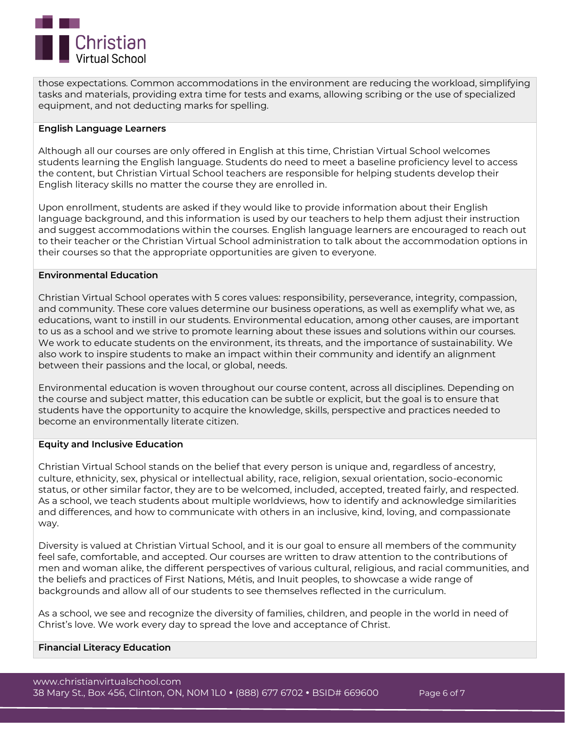

those expectations. Common accommodations in the environment are reducing the workload, simplifying tasks and materials, providing extra time for tests and exams, allowing scribing or the use of specialized equipment, and not deducting marks for spelling.

#### **English Language Learners**

Although all our courses are only offered in English at this time, Christian Virtual School welcomes students learning the English language. Students do need to meet a baseline proficiency level to access the content, but Christian Virtual School teachers are responsible for helping students develop their English literacy skills no matter the course they are enrolled in.

Upon enrollment, students are asked if they would like to provide information about their English language background, and this information is used by our teachers to help them adjust their instruction and suggest accommodations within the courses. English language learners are encouraged to reach out to their teacher or the Christian Virtual School administration to talk about the accommodation options in their courses so that the appropriate opportunities are given to everyone.

#### **Environmental Education**

Christian Virtual School operates with 5 cores values: responsibility, perseverance, integrity, compassion, and community. These core values determine our business operations, as well as exemplify what we, as educations, want to instill in our students. Environmental education, among other causes, are important to us as a school and we strive to promote learning about these issues and solutions within our courses. We work to educate students on the environment, its threats, and the importance of sustainability. We also work to inspire students to make an impact within their community and identify an alignment between their passions and the local, or global, needs.

Environmental education is woven throughout our course content, across all disciplines. Depending on the course and subject matter, this education can be subtle or explicit, but the goal is to ensure that students have the opportunity to acquire the knowledge, skills, perspective and practices needed to become an environmentally literate citizen.

## **Equity and Inclusive Education**

Christian Virtual School stands on the belief that every person is unique and, regardless of ancestry, culture, ethnicity, sex, physical or intellectual ability, race, religion, sexual orientation, socio-economic status, or other similar factor, they are to be welcomed, included, accepted, treated fairly, and respected. As a school, we teach students about multiple worldviews, how to identify and acknowledge similarities and differences, and how to communicate with others in an inclusive, kind, loving, and compassionate way.

Diversity is valued at Christian Virtual School, and it is our goal to ensure all members of the community feel safe, comfortable, and accepted. Our courses are written to draw attention to the contributions of men and woman alike, the different perspectives of various cultural, religious, and racial communities, and the beliefs and practices of First Nations, Métis, and Inuit peoples, to showcase a wide range of backgrounds and allow all of our students to see themselves reflected in the curriculum.

As a school, we see and recognize the diversity of families, children, and people in the world in need of Christ's love. We work every day to spread the love and acceptance of Christ.

## **Financial Literacy Education**